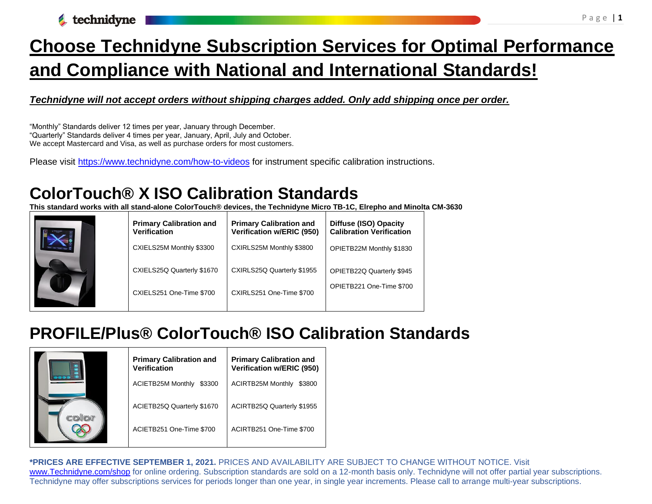**A** technidyne

# **Choose Technidyne Subscription Services for Optimal Performance and Compliance with National and International Standards!**

#### *Technidyne will not accept orders without shipping charges added. Only add shipping once per order.*

"Monthly" Standards deliver 12 times per year, January through December. "Quarterly" Standards deliver 4 times per year, January, April, July and October. We accept Mastercard and Visa, as well as purchase orders for most customers.

Please visit<https://www.technidyne.com/how-to-videos> for instrument specific calibration instructions.

### **ColorTouch® X ISO Calibration Standards**

**This standard works with all stand-alone ColorTouch® devices, the Technidyne Micro TB-1C, Elrepho and Minolta CM-3630**

| <b>Primary Calibration and</b><br><b>Verification</b> | <b>Primary Calibration and</b><br>Verification w/ERIC (950) | <b>Diffuse (ISO) Opacity</b><br><b>Calibration Verification</b> |
|-------------------------------------------------------|-------------------------------------------------------------|-----------------------------------------------------------------|
| CXIELS25M Monthly \$3300                              | CXIRLS25M Monthly \$3800                                    | OPIETB22M Monthly \$1830                                        |
| CXIELS25Q Quarterly \$1670                            | CXIRLS25Q Quarterly \$1955                                  | OPIETB22Q Quarterly \$945                                       |
| CXIELS251 One-Time \$700                              | CXIRLS251 One-Time \$700                                    | OPIETB221 One-Time \$700                                        |
|                                                       |                                                             |                                                                 |

### **PROFILE/Plus® ColorTouch® ISO Calibration Standards**

| <b>Primary Calibration and</b><br><b>Verification</b> | <b>Primary Calibration and</b><br>Verification w/ERIC (950) |
|-------------------------------------------------------|-------------------------------------------------------------|
| <b>ACIETB25M Monthly</b><br>\$3300                    | <b>ACIRTB25M Monthly</b><br>\$3800                          |
| ACIETB25Q Quarterly \$1670                            | ACIRTB25Q Quarterly \$1955                                  |
| ACIETB251 One-Time \$700                              | ACIRTB251 One-Time \$700                                    |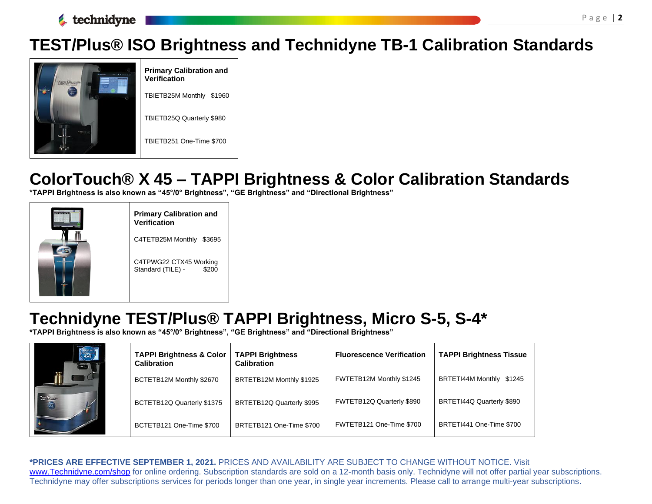

### **TEST/Plus® ISO Brightness and Technidyne TB-1 Calibration Standards**



**Primary Calibration and Verification** TBIETB25M Monthly \$1960 TBIETB25Q Quarterly \$980 TBIETB251 One-Time \$700

## **ColorTouch® X 45 – TAPPI Brightness & Color Calibration Standards**

**\*TAPPI Brightness is also known as "45°/0° Brightness", "GE Brightness" and "Directional Brightness"**



**Primary Calibration and Verification** C4TETB25M Monthly \$3695 C4TPWG22 CTX45 Working Standard (TILE) - \$200

### **Technidyne TEST/Plus® TAPPI Brightness, Micro S-5, S-4\***

**\*TAPPI Brightness is also known as "45°/0° Brightness", "GE Brightness" and "Directional Brightness"**

| $\binom{100 \text{ P}}{45/0}$ | <b>TAPPI Brightness &amp; Color</b><br><b>Calibration</b> | <b>TAPPI Brightness</b><br><b>Calibration</b> | <b>Fluorescence Verification</b> | <b>TAPPI Brightness Tissue</b> |
|-------------------------------|-----------------------------------------------------------|-----------------------------------------------|----------------------------------|--------------------------------|
|                               | BCTETB12M Monthly \$2670                                  | BRTETB12M Monthly \$1925                      | FWTETB12M Monthly \$1245         | BRTETI44M Monthly \$1245       |
| $T = \sqrt{P}$ .              | BCTETB12Q Quarterly \$1375                                | BRTETB12Q Quarterly \$995                     | FWTETB12Q Quarterly \$890        | BRTETI44Q Quarterly \$890      |
|                               | BCTETB121 One-Time \$700                                  | BRTETB121 One-Time \$700                      | FWTETB121 One-Time \$700         | BRTETI441 One-Time \$700       |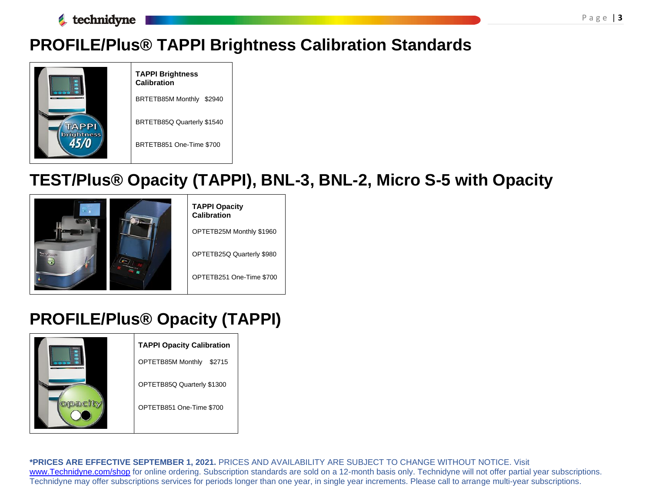

## **PROFILE/Plus® TAPPI Brightness Calibration Standards**



# **TEST/Plus® Opacity (TAPPI), BNL-3, BNL-2, Micro S-5 with Opacity**



## **PROFILE/Plus® Opacity (TAPPI)**

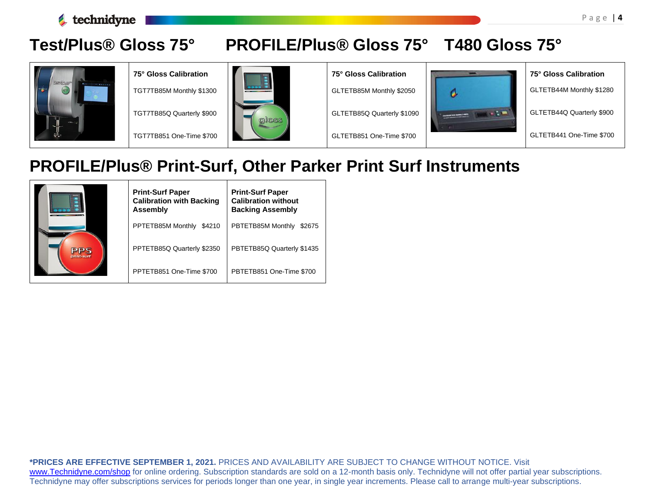

### **Test/Plus® Gloss 75° PROFILE/Plus® Gloss 75° T480 Gloss 75°**



**75° Gloss Calibration** TGT7TB85M Monthly \$1300

TGT7TB85Q Quarterly \$900

TGT7TB851 One-Time \$700



**75° Gloss Calibration**

GLTETB85M Monthly \$2050

GLTETB85Q Quarterly \$1090

GLTETB851 One-Time \$700



**75° Gloss Calibration** GLTETB44M Monthly \$1280 GLTETB44Q Quarterly \$900 GLTETB441 One-Time \$700

### **PROFILE/Plus® Print-Surf, Other Parker Print Surf Instruments**

|                   | <b>Print-Surf Paper</b><br><b>Calibration with Backing</b><br><b>Assembly</b> | <b>Print-Surf Paper</b><br><b>Calibration without</b><br><b>Backing Assembly</b> |
|-------------------|-------------------------------------------------------------------------------|----------------------------------------------------------------------------------|
|                   | PPTETB85M Monthly<br>\$4210                                                   | PBTETB85M Monthly<br>\$2675                                                      |
| pps<br>print-surf | PPTETB85Q Quarterly \$2350                                                    | PBTETB85Q Quarterly \$1435                                                       |
|                   | PPTETB851 One-Time \$700                                                      | PBTETB851 One-Time \$700                                                         |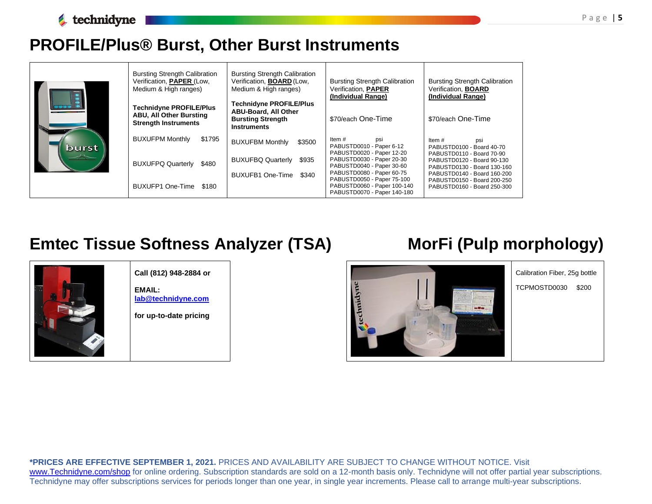### **PROFILE/Plus® Burst, Other Burst Instruments**

|       | <b>Bursting Strength Calibration</b><br>Verification, PAPER (Low,<br>Medium & High ranges)      | <b>Bursting Strength Calibration</b><br>Verification, <b>BOARD</b> (Low,<br><b>Bursting Strength Calibration</b><br>Verification, PAPER<br>Medium & High ranges) |                                                                                                                  | <b>Bursting Strength Calibration</b><br>Verification, <b>BOARD</b><br>(Individual Range)                              |
|-------|-------------------------------------------------------------------------------------------------|------------------------------------------------------------------------------------------------------------------------------------------------------------------|------------------------------------------------------------------------------------------------------------------|-----------------------------------------------------------------------------------------------------------------------|
|       | <b>Technidyne PROFILE/Plus</b><br><b>ABU, All Other Bursting</b><br><b>Strength Instruments</b> | (Individual Range)<br><b>Technidyne PROFILE/Plus</b><br><b>ABU-Board, All Other</b><br><b>Bursting Strength</b><br><b>Instruments</b>                            | \$70/each One-Time                                                                                               | \$70/each One-Time                                                                                                    |
| burst | \$1795<br><b>BUXUFPM Monthly</b>                                                                | <b>BUXUFBM Monthly</b><br>\$3500                                                                                                                                 | Item #<br>psi<br>PABUSTD0010 - Paper 6-12                                                                        | Item $#$<br>psi<br>PABUSTD0100 - Board 40-70                                                                          |
|       | <b>BUXUFPQ Quarterly</b><br>\$480                                                               | <b>BUXUFBQ Quarterly</b><br>\$935<br>BUXUFB1 One-Time<br>\$340                                                                                                   | PABUSTD0020 - Paper 12-20<br>PABUSTD0030 - Paper 20-30<br>PABUSTD0040 - Paper 30-60<br>PABUSTD0080 - Paper 60-75 | PABUSTD0110 - Board 70-90<br>PABUSTD0120 - Board 90-130<br>PABUSTD0130 - Board 130-160<br>PABUSTD0140 - Board 160-200 |
|       | BUXUFP1 One-Time<br>\$180                                                                       |                                                                                                                                                                  | PABUSTD0050 - Paper 75-100<br>PABUSTD0060 - Paper 100-140<br>PABUSTD0070 - Paper 140-180                         | PABUSTD0150 - Board 200-250<br>PABUSTD0160 - Board 250-300                                                            |

## **Emtec Tissue Softness Analyzer (TSA) MorFi (Pulp morphology)**

Calibration Fiber, 25g bottle TCPMOSTD0030 \$200



**Call (812) 948-2884 or**

**EMAIL: [lab@technidyne.com](mailto:lab@technidyne.com)**

**for up-to-date pricing**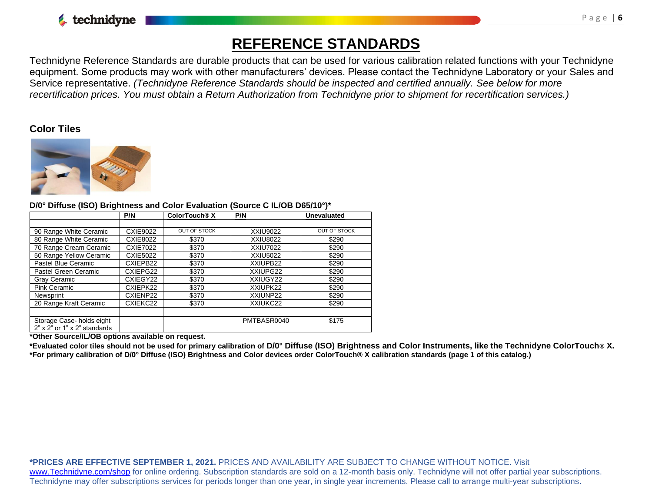

### **REFERENCE STANDARDS**

Technidyne Reference Standards are durable products that can be used for various calibration related functions with your Technidyne equipment. Some products may work with other manufacturers' devices. Please contact the Technidyne Laboratory or your Sales and Service representative. *(Technidyne Reference Standards should be inspected and certified annually. See below for more recertification prices. You must obtain a Return Authorization from Technidyne prior to shipment for recertification services.)*

### **Color Tiles**



#### **D/0° Diffuse (ISO) Brightness and Color Evaluation (Source C IL/OB D65/10°)\***

|                                                                  | P/N             | ColorTouch <sup>®</sup> X | P/N             | <b>Unevaluated</b>  |
|------------------------------------------------------------------|-----------------|---------------------------|-----------------|---------------------|
|                                                                  |                 |                           |                 |                     |
| 90 Range White Ceramic                                           | <b>CXIE9022</b> | <b>OUT OF STOCK</b>       | XXIU9022        | <b>OUT OF STOCK</b> |
| 80 Range White Ceramic                                           | <b>CXIE8022</b> | \$370                     | <b>XXIU8022</b> | \$290               |
| 70 Range Cream Ceramic                                           | <b>CXIE7022</b> | \$370                     | <b>XXIU7022</b> | \$290               |
| 50 Range Yellow Ceramic                                          | <b>CXIE5022</b> | \$370                     | XXIU5022        | \$290               |
| Pastel Blue Ceramic                                              | CXIEPB22        | \$370                     | XXIUPB22        | \$290               |
| Pastel Green Ceramic                                             | CXIEPG22        | \$370                     | XXIUPG22        | \$290               |
| Gray Ceramic                                                     | CXIEGY22        | \$370                     | XXIUGY22        | \$290               |
| <b>Pink Ceramic</b>                                              | CXIEPK22        | \$370                     | XXIUPK22        | \$290               |
| Newsprint                                                        | CXIENP22        | \$370                     | XXIUNP22        | \$290               |
| 20 Range Kraft Ceramic                                           | CXIEKC22        | \$370                     | XXIUKC22        | \$290               |
|                                                                  |                 |                           |                 |                     |
| Storage Case-holds eight<br>$2"$ x $2"$ or $1"$ x $2"$ standards |                 |                           | PMTBASR0040     | \$175               |

**\*Other Source/IL/OB options available on request.**

**\*Evaluated color tiles should not be used for primary calibration of D/0° Diffuse (ISO) Brightness and Color Instruments, like the Technidyne ColorTouch® X. \*For primary calibration of D/0° Diffuse (ISO) Brightness and Color devices order ColorTouch® X calibration standards (page 1 of this catalog.)**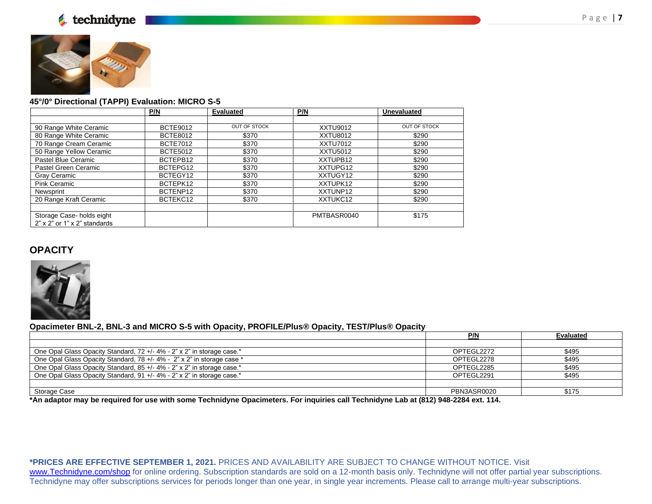



|                                      | P/N             | <b>Evaluated</b>    | P/N             | <b>Unevaluated</b>  |
|--------------------------------------|-----------------|---------------------|-----------------|---------------------|
|                                      |                 |                     |                 |                     |
| 90 Range White Ceramic               | <b>BCTE9012</b> | <b>OUT OF STOCK</b> | <b>XXTU9012</b> | <b>OUT OF STOCK</b> |
| 80 Range White Ceramic               | <b>BCTE8012</b> | \$370               | XXTU8012        | \$290               |
| 70 Range Cream Ceramic               | <b>BCTE7012</b> | \$370               | <b>XXTU7012</b> | \$290               |
| 50 Range Yellow Ceramic              | <b>BCTE5012</b> | \$370               | XXTU5012        | \$290               |
| Pastel Blue Ceramic                  | BCTEPB12        | \$370               | XXTUPB12        | \$290               |
| Pastel Green Ceramic                 | BCTEPG12        | \$370               | XXTUPG12        | \$290               |
| Gray Ceramic                         | BCTEGY12        | \$370               | XXTUGY12        | \$290               |
| <b>Pink Ceramic</b>                  | BCTEPK12        | \$370               | XXTUPK12        | \$290               |
| Newsprint                            | BCTENP12        | \$370               | XXTUNP12        | \$290               |
| 20 Range Kraft Ceramic               | BCTEKC12        | \$370               | XXTUKC12        | \$290               |
|                                      |                 |                     |                 |                     |
| Storage Case-holds eight             |                 |                     | PMTBASR0040     | \$175               |
| $2"$ x $2"$ or $1"$ x $2"$ standards |                 |                     |                 |                     |

#### **OPACITY**



#### **Opacimeter BNL-2, BNL-3 and MICRO S-5 with Opacity, PROFILE/Plus® Opacity, TEST/Plus® Opacity**

|                                                                        | P/N         | <b>Evaluated</b> |
|------------------------------------------------------------------------|-------------|------------------|
|                                                                        |             |                  |
| One Opal Glass Opacity Standard, 72 +/- 4% - 2" x 2" in storage case.* | OPTEGL2272  | \$495            |
| One Opal Glass Opacity Standard, 78 +/- 4% - 2" x 2" in storage case * | OPTEGL2278  | \$495            |
| One Opal Glass Opacity Standard, 85 +/- 4% - 2" x 2" in storage case.* | OPTEGL2285  | \$495            |
| One Opal Glass Opacity Standard, 91 +/- 4% - 2" x 2" in storage case.* | OPTEGL2291  | \$495            |
|                                                                        |             |                  |
| Storage Case                                                           | PBN3ASR0020 | \$175            |

**\*An adaptor may be required for use with some Technidyne Opacimeters. For inquiries call Technidyne Lab at (812) 948-2284 ext. 114.**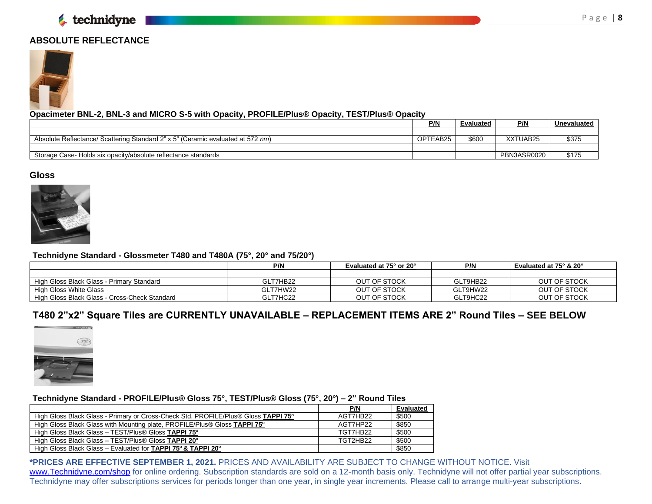### **ABSOLUTE REFLECTANCE**



#### **Opacimeter BNL-2, BNL-3 and MICRO S-5 with Opacity, PROFILE/Plus® Opacity, TEST/Plus® Opacity**

|                                                                                 | P/N      | Evaluated | <b>P/N</b>  | Unevaluated |
|---------------------------------------------------------------------------------|----------|-----------|-------------|-------------|
|                                                                                 |          |           |             |             |
| Absolute Reflectance/ Scattering Standard 2" x 5" (Ceramic evaluated at 572 nm) | OPTEAB25 | \$600     | XXTUAB25    | \$375       |
|                                                                                 |          |           |             |             |
| Storage Case-Holds six opacity/absolute reflectance standards                   |          |           | PBN3ASR0020 |             |

#### **Gloss**



#### **Technidyne Standard - Glossmeter T480 and T480A (75°, 20° and 75/20°)**

|                                               | P/N      | <b>P/N</b><br><b>Evaluated at 75° or 20°</b> |          | Evaluated at 75° & 20° |
|-----------------------------------------------|----------|----------------------------------------------|----------|------------------------|
|                                               |          |                                              |          |                        |
| High Gloss Black Glass - Primary Standard     | GLT7HB22 | OUT OF STOCK                                 | GLT9HB22 | OUT OF STOCK           |
| High Gloss White Glass                        | GLT7HW22 | OUT OF STOCK                                 | GLT9HW22 | OUT OF STOCK           |
| High Gloss Black Glass - Cross-Check Standard | GLT7HC22 | OUT OF STOCK                                 | GLT9HC22 | OUT OF STOCK           |

### **T480 2"x2" Square Tiles are CURRENTLY UNAVAILABLE – REPLACEMENT ITEMS ARE 2" Round Tiles – SEE BELOW**



#### **Technidyne Standard - PROFILE/Plus® Gloss 75°, TEST/Plus® Gloss (75°, 20°) – 2" Round Tiles**

|                                                                                    | P/N      | Evaluated |
|------------------------------------------------------------------------------------|----------|-----------|
| High Gloss Black Glass - Primary or Cross-Check Std, PROFILE/Plus® Gloss TAPPI 75° | AGT7HB22 | \$500     |
| High Gloss Black Glass with Mounting plate, PROFILE/Plus® Gloss TAPPI 75°          | AGT7HP22 | \$850     |
| High Gloss Black Glass - TEST/Plus® Gloss TAPPI 75°                                | TGT7HB22 | \$500     |
| High Gloss Black Glass - TEST/Plus® Gloss TAPPI 20°                                | TGT2HB22 | \$500     |
| High Gloss Black Glass – Evaluated for TAPPI 75° & TAPPI 20°                       |          | \$850     |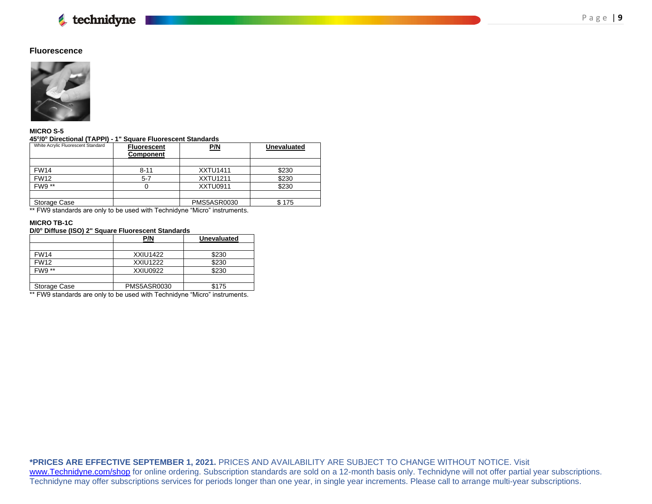#### **Fluorescence**



#### **MICRO S-5 45<sup>o</sup> /0<sup>o</sup> Directional (TAPPI) - 1" Square Fluorescent Standards**

| White Acrylic Fluorescent Standard | <b>Fluorescent</b><br><b>Component</b> | <u>P/N</u>      | <b>Unevaluated</b> |  |
|------------------------------------|----------------------------------------|-----------------|--------------------|--|
|                                    |                                        |                 |                    |  |
| <b>FW14</b>                        | $8 - 11$                               | <b>XXTU1411</b> | \$230              |  |
| <b>FW12</b>                        | $5 - 7$                                | <b>XXTU1211</b> | \$230              |  |
| FW9 **                             |                                        | XXTU0911        | \$230              |  |
|                                    |                                        |                 |                    |  |
| Storage Case                       |                                        | PMS5ASR0030     | \$175              |  |

\*\* FW9 standards are only to be used with Technidyne "Micro" instruments.

#### **MICRO TB-1C**

#### **D/0<sup>o</sup> Diffuse (ISO) 2" Square Fluorescent Standards**

|               | P/N             | <b>Unevaluated</b> |
|---------------|-----------------|--------------------|
|               |                 |                    |
| <b>FW14</b>   | <b>XXIU1422</b> | \$230              |
| <b>FW12</b>   | <b>XXIU1222</b> | \$230              |
| <b>FW9</b> ** | XXIU0922        | \$230              |
|               |                 |                    |
| Storage Case  | PMS5ASR0030     | \$175              |

\*\* FW9 standards are only to be used with Technidyne "Micro" instruments.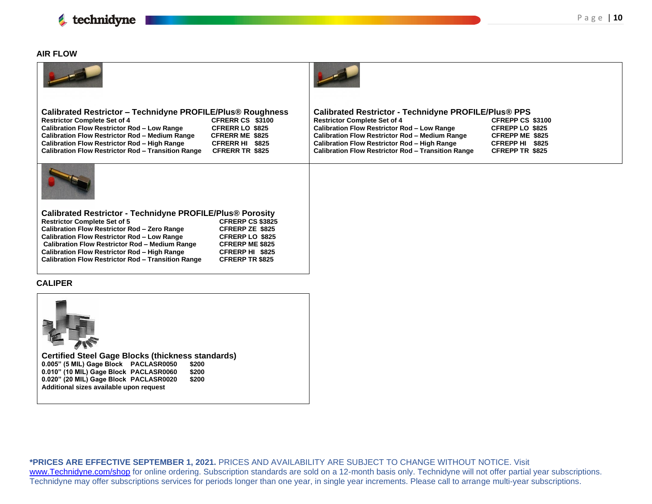

#### **AIR FLOW**

| <b>Calibrated Restrictor - Technidyne PROFILE/Plus® Roughness</b><br><b>Restrictor Complete Set of 4</b><br>CFRERR CS \$3100<br><b>Calibration Flow Restrictor Rod - Low Range</b><br><b>CFRERR LO \$825</b><br>Calibration Flow Restrictor Rod - Medium Range<br><b>CFRERR ME \$825</b><br><b>Calibration Flow Restrictor Rod - High Range</b><br>CFRERR HI \$825<br><b>Calibration Flow Restrictor Rod - Transition Range</b><br>CFRERR TR \$825                                                                                               | <b>Calibrated Restrictor - Technidyne PROFILE/Plus® PPS</b><br><b>Restrictor Complete Set of 4</b><br>CFREPP CS \$3100<br><b>Calibration Flow Restrictor Rod - Low Range</b><br>CFREPP LO \$825<br><b>Calibration Flow Restrictor Rod - Medium Range</b><br><b>CFREPP ME \$825</b><br><b>Calibration Flow Restrictor Rod - High Range</b><br>CFREPP HI \$825<br><b>Calibration Flow Restrictor Rod - Transition Range</b><br><b>CFREPP TR \$825</b> |
|--------------------------------------------------------------------------------------------------------------------------------------------------------------------------------------------------------------------------------------------------------------------------------------------------------------------------------------------------------------------------------------------------------------------------------------------------------------------------------------------------------------------------------------------------|-----------------------------------------------------------------------------------------------------------------------------------------------------------------------------------------------------------------------------------------------------------------------------------------------------------------------------------------------------------------------------------------------------------------------------------------------------|
|                                                                                                                                                                                                                                                                                                                                                                                                                                                                                                                                                  |                                                                                                                                                                                                                                                                                                                                                                                                                                                     |
| <b>Calibrated Restrictor - Technidyne PROFILE/Plus® Porosity</b><br><b>Restrictor Complete Set of 5</b><br><b>CFRERP CS \$3825</b><br>Calibration Flow Restrictor Rod - Zero Range<br><b>CFRERP ZE \$825</b><br><b>Calibration Flow Restrictor Rod - Low Range</b><br><b>CFRERP LO \$825</b><br><b>Calibration Flow Restrictor Rod - Medium Range</b><br><b>CFRERP ME \$825</b><br><b>Calibration Flow Restrictor Rod - High Range</b><br>CFRERP HI \$825<br><b>Calibration Flow Restrictor Rod - Transition Range</b><br><b>CFRERP TR \$825</b> |                                                                                                                                                                                                                                                                                                                                                                                                                                                     |
| <b>CALIPER</b>                                                                                                                                                                                                                                                                                                                                                                                                                                                                                                                                   |                                                                                                                                                                                                                                                                                                                                                                                                                                                     |
|                                                                                                                                                                                                                                                                                                                                                                                                                                                                                                                                                  |                                                                                                                                                                                                                                                                                                                                                                                                                                                     |
| <b>Certified Steel Gage Blocks (thickness standards)</b><br>0.005" (5 MIL) Gage Block PACLASR0050<br>\$200                                                                                                                                                                                                                                                                                                                                                                                                                                       |                                                                                                                                                                                                                                                                                                                                                                                                                                                     |

**0.010" (10 MIL) Gage Block PACLASR0060 \$200 0.020" (20 MIL) Gage Block PACLASR0020 \$200 Additional sizes available upon request**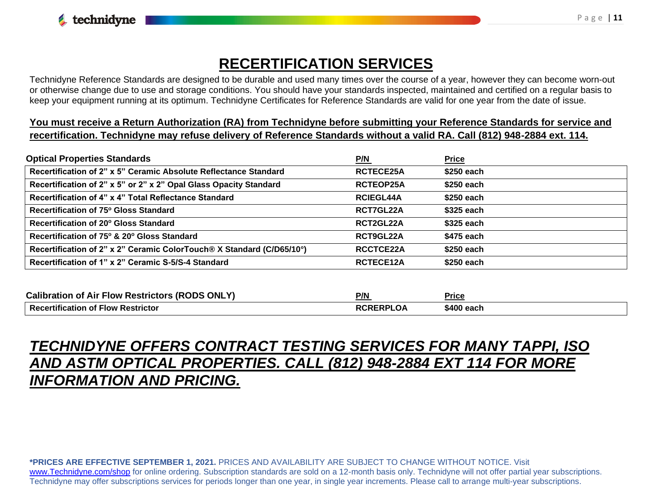### **RECERTIFICATION SERVICES**

Technidyne Reference Standards are designed to be durable and used many times over the course of a year, however they can become worn-out or otherwise change due to use and storage conditions. You should have your standards inspected, maintained and certified on a regular basis to keep your equipment running at its optimum. Technidyne Certificates for Reference Standards are valid for one year from the date of issue.

**You must receive a Return Authorization (RA) from Technidyne before submitting your Reference Standards for service and recertification. Technidyne may refuse delivery of Reference Standards without a valid RA. Call (812) 948-2884 ext. 114.**

| <b>Optical Properties Standards</b>                                   | <u>P/N</u>       | <b>Price</b> |
|-----------------------------------------------------------------------|------------------|--------------|
| Recertification of 2" x 5" Ceramic Absolute Reflectance Standard      | RCTECE25A        | \$250 each   |
| Recertification of 2" x 5" or 2" x 2" Opal Glass Opacity Standard     | RCTEOP25A        | $$250$ each  |
| Recertification of 4" x 4" Total Reflectance Standard                 | <b>RCIEGL44A</b> | $$250$ each  |
| Recertification of 75° Gloss Standard                                 | RCT7GL22A        | \$325 each   |
| Recertification of 20° Gloss Standard                                 | RCT2GL22A        | \$325 each   |
| Recertification of 75° & 20° Gloss Standard                           | RCT9GL22A        | \$475 each   |
| Recertification of 2" x 2" Ceramic ColorTouch® X Standard (C/D65/10°) | RCCTCE22A        | \$250 each   |
| Recertification of 1" x 2" Ceramic S-5/S-4 Standard                   | <b>RCTECE12A</b> | \$250 each   |

| <b>Calibration of Air Flow Restrictors (RODS ONLY)</b> | P/N              | <b>Price</b> |
|--------------------------------------------------------|------------------|--------------|
| <b>Recertification of Flow Restrictor</b>              | <b>RCRERPLOA</b> | \$400 each   |

### *TECHNIDYNE OFFERS CONTRACT TESTING SERVICES FOR MANY TAPPI, ISO AND ASTM OPTICAL PROPERTIES. CALL (812) 948-2884 EXT 114 FOR MORE INFORMATION AND PRICING.*